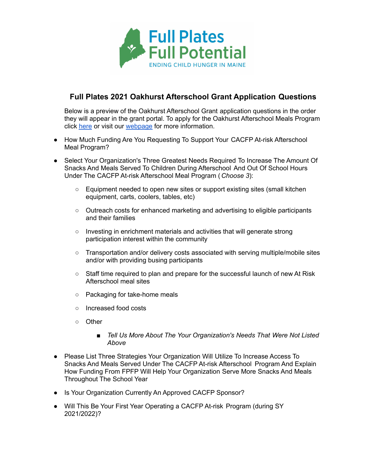

## **Full Plates 2021 Oakhurst Afterschool Grant Application Questions**

Below is a preview of the Oakhurst Afterschool Grant application questions in the order they will appear in the grant portal. To apply for the Oakhurst Afterschool Meals Program click [here](https://webportalapp.com/sp/login/full_plates_after_school) or visit our [webpage](https://www.fullplates.org/grants/cacfp-at-risk-afterschool-meals-grant-program/) for more information.

- How Much Funding Are You Requesting To Support Your CACFP At-risk Afterschool Meal Program?
- Select Your Organization's Three Greatest Needs Required To Increase The Amount Of Snacks And Meals Served To Children During Afterschool And Out Of School Hours Under The CACFP At-risk Afterschool Meal Program ( *Choose 3*):
	- Equipment needed to open new sites or support existing sites (small kitchen equipment, carts, coolers, tables, etc)
	- Outreach costs for enhanced marketing and advertising to eligible participants and their families
	- Investing in enrichment materials and activities that will generate strong participation interest within the community
	- Transportation and/or delivery costs associated with serving multiple/mobile sites and/or with providing busing participants
	- Staff time required to plan and prepare for the successful launch of new At Risk Afterschool meal sites
	- Packaging for take-home meals
	- Increased food costs
	- Other
		- *■ Tell Us More About The Your Organization's Needs That Were Not Listed Above*
- Please List Three Strategies Your Organization Will Utilize To Increase Access To Snacks And Meals Served Under The CACFP At-risk Afterschool Program And Explain How Funding From FPFP Will Help Your Organization Serve More Snacks And Meals Throughout The School Year
- Is Your Organization Currently An Approved CACFP Sponsor?
- Will This Be Your First Year Operating a CACFP At-risk Program (during SY 2021/2022)?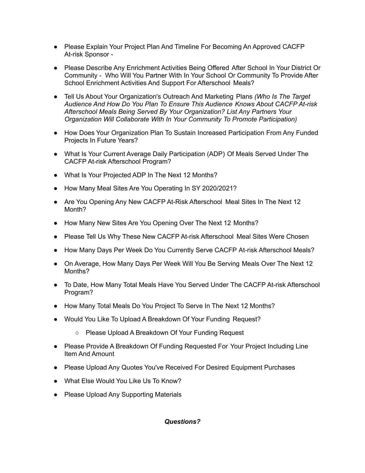- Please Explain Your Project Plan And Timeline For Becoming An Approved CACFP At-risk Sponsor -
- Please Describe Any Enrichment Activities Being Offered After School In Your District Or Community - Who Will You Partner With In Your School Or Community To Provide After School Enrichment Activities And Support For Afterschool Meals?
- Tell Us About Your Organization's Outreach And Marketing Plans *(Who Is The Target Audience And How Do You Plan To Ensure This Audience Knows About CACFP At-risk Afterschool Meals Being Served By Your Organization? List Any Partners Your Organization Will Collaborate With In Your Community To Promote Participation)*
- How Does Your Organization Plan To Sustain Increased Participation From Any Funded Projects In Future Years?
- What Is Your Current Average Daily Participation (ADP) Of Meals Served Under The CACFP At-risk Afterschool Program?
- What Is Your Projected ADP In The Next 12 Months?
- How Many Meal Sites Are You Operating In SY 2020/2021?
- Are You Opening Any New CACFP At-Risk Afterschool Meal Sites In The Next 12 Month?
- How Many New Sites Are You Opening Over The Next 12 Months?
- Please Tell Us Why These New CACFP At-risk Afterschool Meal Sites Were Chosen
- How Many Days Per Week Do You Currently Serve CACFP At-risk Afterschool Meals?
- On Average, How Many Days Per Week Will You Be Serving Meals Over The Next 12 Months?
- To Date, How Many Total Meals Have You Served Under The CACFP At-risk Afterschool Program?
- How Many Total Meals Do You Project To Serve In The Next 12 Months?
- Would You Like To Upload A Breakdown Of Your Funding Request?
	- Please Upload A Breakdown Of Your Funding Request
- Please Provide A Breakdown Of Funding Requested For Your Project Including Line Item And Amount
- Please Upload Any Quotes You've Received For Desired Equipment Purchases
- What Else Would You Like Us To Know?
- Please Upload Any Supporting Materials

## *Questions?*